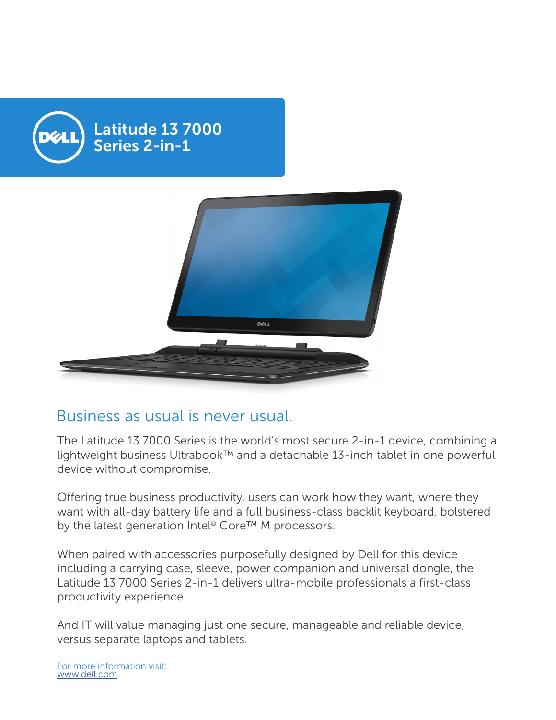

## Business as usual is never usual.

The Latitude 13 7000 Series is the world's most secure 2-in-1 device, combining a lightweight business Ultrabook™ and a detachable 13-inch tablet in one powerful device without compromise.

Offering true business productivity, users can work how they want, where they want with all-day battery life and a full business-class backlit keyboard, bolstered by the latest generation Intel® Core™ M processors.

When paired with accessories purposefully designed by Dell for this device including a carrying case, sleeve, power companion and universal dongle, the Latitude 13 7000 Series 2-in-1 delivers ultra-mobile professionals a first-class productivity experience.

And IT will value managing just one secure, manageable and reliable device, versus separate laptops and tablets.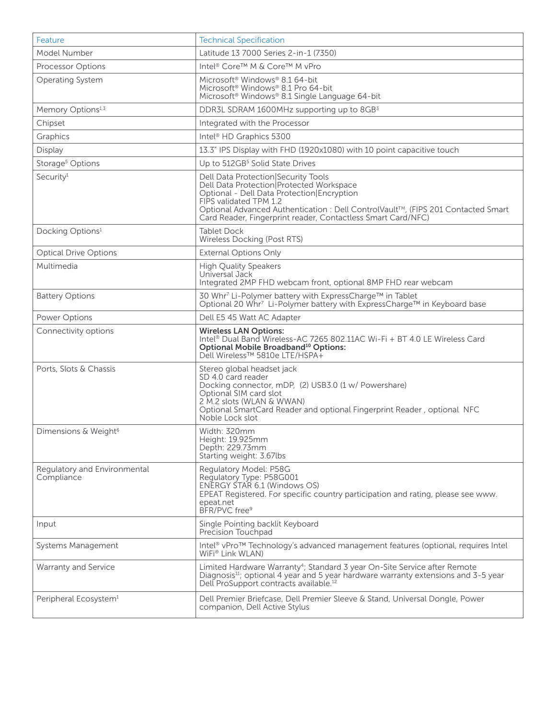| Feature                                    | <b>Technical Specification</b>                                                                                                                                                                                                                                                                              |
|--------------------------------------------|-------------------------------------------------------------------------------------------------------------------------------------------------------------------------------------------------------------------------------------------------------------------------------------------------------------|
| Model Number                               | Latitude 13 7000 Series 2-in-1 (7350)                                                                                                                                                                                                                                                                       |
| Processor Options                          | Intel <sup>®</sup> Core™ M & Core™ M vPro                                                                                                                                                                                                                                                                   |
| Operating System                           | Microsoft <sup>®</sup> Windows <sup>®</sup> 8.1 64-bit<br>Microsoft <sup>®</sup> Windows® 8.1 Pro 64-bit<br>Microsoft <sup>®</sup> Windows <sup>®</sup> 8.1 Single Language 64-bit                                                                                                                          |
| Memory Options <sup>1,3</sup>              | DDR3L SDRAM 1600MHz supporting up to 8GB3                                                                                                                                                                                                                                                                   |
| Chipset                                    | Integrated with the Processor                                                                                                                                                                                                                                                                               |
| Graphics                                   | Intel <sup>®</sup> HD Graphics 5300                                                                                                                                                                                                                                                                         |
| Display                                    | 13.3" IPS Display with FHD (1920x1080) with 10 point capacitive touch                                                                                                                                                                                                                                       |
| Storage <sup>5</sup> Options               | Up to 512GB <sup>5</sup> Solid State Drives                                                                                                                                                                                                                                                                 |
| Security <sup>1</sup>                      | Dell Data Protection Security Tools<br>Dell Data Protection Protected Workspace<br>Optional - Dell Data Protection Encryption<br>FIPS validated TPM 1.2<br>Optional Advanced Authentication : Dell ControlVault™, (FIPS 201 Contacted Smart<br>Card Reader, Fingerprint reader, Contactless Smart Card/NFC) |
| Docking Options <sup>1</sup>               | <b>Tablet Dock</b><br>Wireless Docking (Post RTS)                                                                                                                                                                                                                                                           |
| <b>Optical Drive Options</b>               | <b>External Options Only</b>                                                                                                                                                                                                                                                                                |
| Multimedia                                 | <b>High Quality Speakers</b><br>Universal Jack<br>Integrated 2MP FHD webcam front, optional 8MP FHD rear webcam                                                                                                                                                                                             |
| <b>Battery Options</b>                     | 30 Whr <sup>7</sup> Li-Polymer battery with ExpressCharge™ in Tablet<br>Optional 20 Whr <sup>7</sup> Li-Polymer battery with ExpressCharge™ in Keyboard base                                                                                                                                                |
| Power Options                              | Dell E5 45 Watt AC Adapter                                                                                                                                                                                                                                                                                  |
|                                            |                                                                                                                                                                                                                                                                                                             |
| Connectivity options                       | <b>Wireless LAN Options:</b><br>Intel® Dual Band Wireless-AC 7265 802.11AC Wi-Fi + BT 4.0 LE Wireless Card<br>Optional Mobile Broadband <sup>10</sup> Options:<br>Dell Wireless™ 5810e LTE/HSPA+                                                                                                            |
| Ports, Slots & Chassis                     | Stereo global headset jack<br>SD 4.0 card reader<br>Docking connector, mDP, (2) USB3.0 (1 w/ Powershare)<br>Optional SIM card slot<br>2 M.2 slots (WLAN & WWAN)<br>Optional SmartCard Reader and optional Fingerprint Reader, optional NFC<br>Noble Lock slot                                               |
| Dimensions & Weight <sup>6</sup>           | Width: 320mm<br>Height: 19.925mm<br>Depth: 229.73mm<br>Starting weight: 3.67lbs                                                                                                                                                                                                                             |
| Regulatory and Environmental<br>Compliance | Regulatory Model: P58G<br>Regulatory Type: P58G001<br>ENERGY STAR 6.1 (Windows OS)<br>EPEAT Registered. For specific country participation and rating, please see www.<br>epeat.net<br>BFR/PVC free <sup>9</sup>                                                                                            |
| Input                                      | Single Pointing backlit Keyboard<br>Precision Touchpad                                                                                                                                                                                                                                                      |
| Systems Management                         | Intel <sup>®</sup> vPro™ Technology's advanced management features (optional, requires Intel<br>WiFi® Link WLAN)                                                                                                                                                                                            |
| Warranty and Service                       | Limited Hardware Warranty <sup>4</sup> ; Standard 3 year On-Site Service after Remote<br>Diagnosis <sup>11</sup> ; optional 4 year and 5 year hardware warranty extensions and 3-5 year<br>Dell ProSupport contracts available. <sup>12</sup>                                                               |